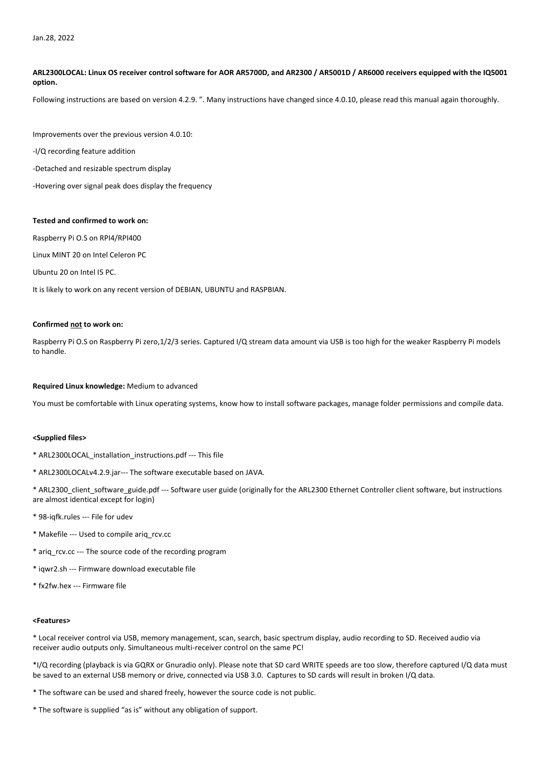# **ARL2300LOCAL: Linux OS receiver control software for AOR AR5700D, and AR2300 / AR5001D / AR6000 receivers equipped with the IQ5001 option.**

Following instructions are based on version 4.2.9. ". Many instructions have changed since 4.0.10, please read this manual again thoroughly.

Improvements over the previous version 4.0.10:

-I/Q recording feature addition

-Detached and resizable spectrum display

-Hovering over signal peak does display the frequency

### **Tested and confirmed to work on:**

Raspberry Pi O.S on RPI4/RPI400

Linux MINT 20 on Intel Celeron PC

Ubuntu 20 on Intel I5 PC.

It is likely to work on any recent version of DEBIAN, UBUNTU and RASPBIAN.

#### **Confirmed not to work on:**

Raspberry Pi O.S on Raspberry Pi zero,1/2/3 series. Captured I/Q stream data amount via USB is too high for the weaker Raspberry Pi models to handle.

## **Required Linux knowledge:** Medium to advanced

You must be comfortable with Linux operating systems, know how to install software packages, manage folder permissions and compile data.

#### **<Supplied files>**

- \* ARL2300LOCAL\_installation\_instructions.pdf --- This file
- \* ARL2300LOCALv4.2.9.jar--- The software executable based on JAVA.
- \* ARL2300\_client\_software\_guide.pdf --- Software user guide (originally for the ARL2300 Ethernet Controller client software, but instructions are almost identical except for login)
- \* 98-iqfk.rules --- File for udev
- \* Makefile --- Used to compile ariq\_rcv.cc
- \* ariq\_rcv.cc --- The source code of the recording program
- \* iqwr2.sh --- Firmware download executable file
- \* fx2fw.hex --- Firmware file

#### **<Features>**

\* Local receiver control via USB, memory management, scan, search, basic spectrum display, audio recording to SD. Received audio via receiver audio outputs only. Simultaneous multi-receiver control on the same PC!

\*I/Q recording (playback is via GQRX or Gnuradio only). Please note that SD card WRITE speeds are too slow, therefore captured I/Q data must be saved to an external USB memory or drive, connected via USB 3.0. Captures to SD cards will result in broken I/Q data.

\* The software can be used and shared freely, however the source code is not public.

\* The software is supplied "as is" without any obligation of support.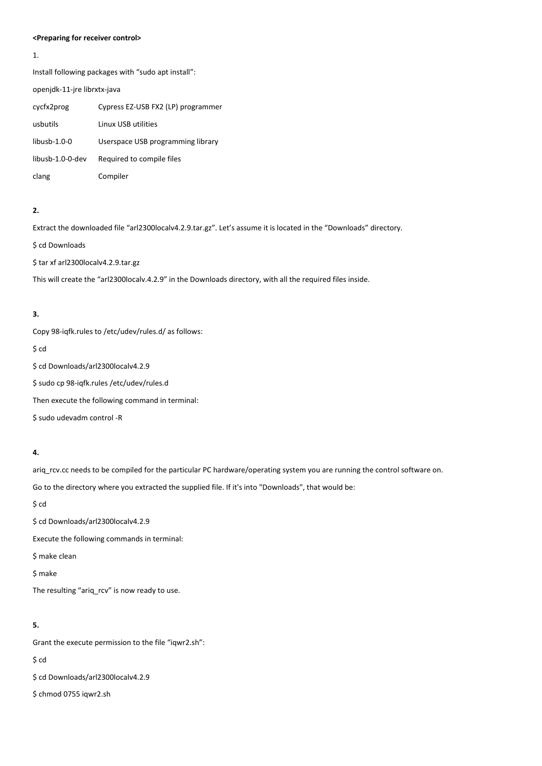#### **<Preparing for receiver control>**

1.

Install following packages with "sudo apt install":

openjdk-11-jre librxtx-java

| cycfx2prog       | Cypress EZ-USB FX2 (LP) programmer |
|------------------|------------------------------------|
| usbutils         | Linux USB utilities                |
| $libush-1.0-0$   | Userspace USB programming library  |
| libusb-1.0-0-dev | Required to compile files          |
| clang            | Compiler                           |

### **2.**

Extract the downloaded file "arl2300localv4.2.9.tar.gz". Let's assume it is located in the "Downloads" directory.

\$ cd Downloads

\$ tar xf arl2300localv4.2.9.tar.gz

This will create the "arl2300localv.4.2.9" in the Downloads directory, with all the required files inside.

# **3.**

Copy 98-iqfk.rules to /etc/udev/rules.d/ as follows:

\$ cd

\$ cd Downloads/arl2300localv4.2.9

\$ sudo cp 98-iqfk.rules /etc/udev/rules.d

Then execute the following command in terminal:

\$ sudo udevadm control -R

# **4.**

ariq\_rcv.cc needs to be compiled for the particular PC hardware/operating system you are running the control software on.

Go to the directory where you extracted the supplied file. If it's into "Downloads", that would be:

\$ cd

\$ cd Downloads/arl2300localv4.2.9

Execute the following commands in terminal:

\$ make clean

\$ make

The resulting "ariq\_rcv" is now ready to use.

#### **5.**

Grant the execute permission to the file "iqwr2.sh":

\$ cd

\$ cd Downloads/arl2300localv4.2.9

\$ chmod 0755 iqwr2.sh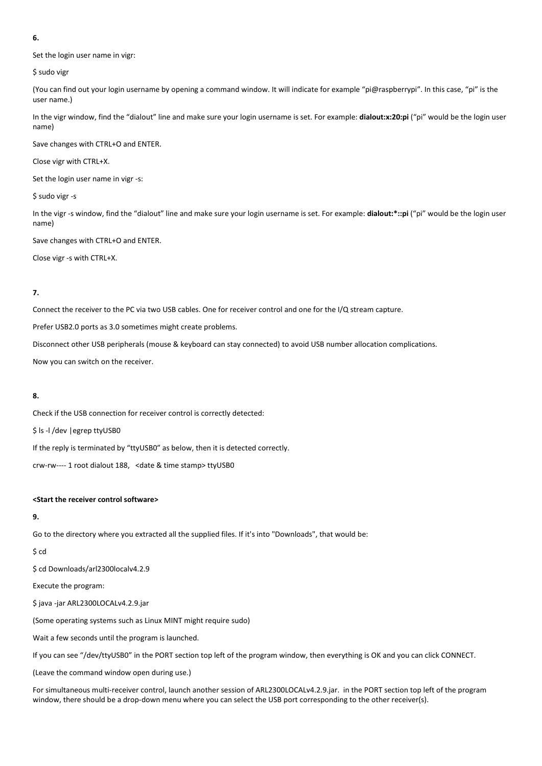#### **6.**

Set the login user name in vigr:

\$ sudo vigr

(You can find out your login username by opening a command window. It will indicate for example "pi@raspberrypi". In this case, "pi" is the user name.)

In the vigr window, find the "dialout" line and make sure your login username is set. For example: **dialout:x:20:pi** ("pi" would be the login user name)

Save changes with CTRL+O and ENTER.

Close vigr with CTRL+X.

Set the login user name in vigr -s:

\$ sudo vigr -s

In the vigr -s window, find the "dialout" line and make sure your login username is set. For example: **dialout:\*::pi** ("pi" would be the login user name)

Save changes with CTRL+O and ENTER.

Close vigr -s with CTRL+X.

#### **7.**

Connect the receiver to the PC via two USB cables. One for receiver control and one for the I/Q stream capture.

Prefer USB2.0 ports as 3.0 sometimes might create problems.

Disconnect other USB peripherals (mouse & keyboard can stay connected) to avoid USB number allocation complications.

Now you can switch on the receiver.

#### **8.**

Check if the USB connection for receiver control is correctly detected:

\$ ls -l /dev |egrep ttyUSB0

If the reply is terminated by "ttyUSB0" as below, then it is detected correctly.

crw-rw---- 1 root dialout 188, <date & time stamp> ttyUSB0

#### **<Start the receiver control software>**

# **9.**

Go to the directory where you extracted all the supplied files. If it's into "Downloads", that would be:

## \$ cd

\$ cd Downloads/arl2300localv4.2.9

Execute the program:

\$ java -jar ARL2300LOCALv4.2.9.jar

(Some operating systems such as Linux MINT might require sudo)

Wait a few seconds until the program is launched.

If you can see "/dev/ttyUSB0" in the PORT section top left of the program window, then everything is OK and you can click CONNECT.

(Leave the command window open during use.)

For simultaneous multi-receiver control, launch another session of ARL2300LOCALv4.2.9.jar. in the PORT section top left of the program window, there should be a drop-down menu where you can select the USB port corresponding to the other receiver(s).